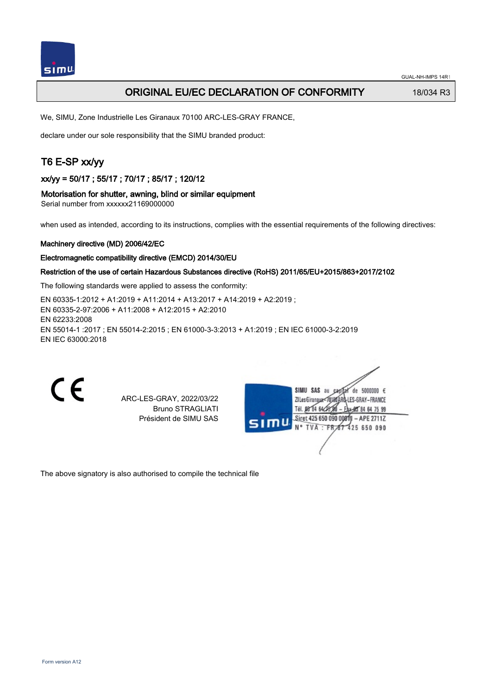

## **ORIGINAL EU/EC DECLARATION OF CONFORMITY** 18/034 R3

We, SIMU, Zone Industrielle Les Giranaux 70100 ARC-LES-GRAY FRANCE,

declare under our sole responsibility that the SIMU branded product:

## T6 E-SP xx/yy

xx/yy = 50/17 ; 55/17 ; 70/17 ; 85/17 ; 120/12

#### Motorisation for shutter, awning, blind or similar equipment

Serial number from xxxxxx21169000000

when used as intended, according to its instructions, complies with the essential requirements of the following directives:

#### Machinery directive (MD) 2006/42/EC

#### Electromagnetic compatibility directive (EMCD) 2014/30/EU

#### Restriction of the use of certain Hazardous Substances directive (RoHS) 2011/65/EU+2015/863+2017/2102

The following standards were applied to assess the conformity:

EN 60335‑1:2012 + A1:2019 + A11:2014 + A13:2017 + A14:2019 + A2:2019 ; EN 60335‑2‑97:2006 + A11:2008 + A12:2015 + A2:2010 EN 62233:2008 EN 55014‑1 :2017 ; EN 55014‑2:2015 ; EN 61000‑3‑3:2013 + A1:2019 ; EN IEC 61000‑3‑2:2019 EN IEC 63000:2018

CE

ARC-LES-GRAY, 2022/03/22 Bruno STRAGLIATI Président de SIMU SAS

| SIMU | SIMU SAS au<br>5000000 $\epsilon$<br>de.<br>CR |
|------|------------------------------------------------|
|      | ZI Les GiranauxI-LES-GRAY-FRANCE               |
|      | Tél. 08 84 64 28 8<br>* 地 84 64 75 99          |
|      | Siret 425 650 090 00811<br>$-$ APE 2711Z       |
|      | N° TVA : FR 67 425 650 090                     |
|      |                                                |
|      |                                                |
|      |                                                |

The above signatory is also authorised to compile the technical file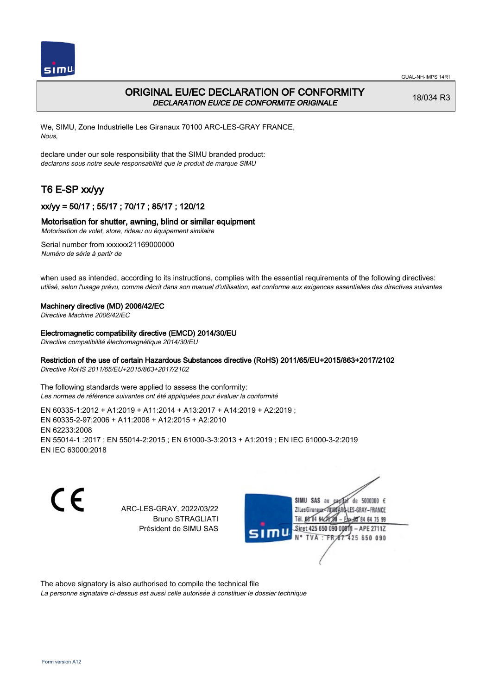



## ORIGINAL EU/EC DECLARATION OF CONFORMITY DECLARATION EU/CE DE CONFORMITE ORIGINALE

18/034 R3

We, SIMU, Zone Industrielle Les Giranaux 70100 ARC-LES-GRAY FRANCE, Nous,

declare under our sole responsibility that the SIMU branded product: declarons sous notre seule responsabilité que le produit de marque SIMU

# T6 E-SP xx/yy

## xx/yy = 50/17 ; 55/17 ; 70/17 ; 85/17 ; 120/12

#### Motorisation for shutter, awning, blind or similar equipment

Motorisation de volet, store, rideau ou équipement similaire

Serial number from xxxxxx21169000000 Numéro de série à partir de

when used as intended, according to its instructions, complies with the essential requirements of the following directives: utilisé, selon l'usage prévu, comme décrit dans son manuel d'utilisation, est conforme aux exigences essentielles des directives suivantes

#### Machinery directive (MD) 2006/42/EC

Directive Machine 2006/42/EC

#### Electromagnetic compatibility directive (EMCD) 2014/30/EU

Directive compatibilité électromagnétique 2014/30/EU

#### Restriction of the use of certain Hazardous Substances directive (RoHS) 2011/65/EU+2015/863+2017/2102

Directive RoHS 2011/65/EU+2015/863+2017/2102

The following standards were applied to assess the conformity: Les normes de référence suivantes ont été appliquées pour évaluer la conformité

EN 60335‑1:2012 + A1:2019 + A11:2014 + A13:2017 + A14:2019 + A2:2019 ; EN 60335‑2‑97:2006 + A11:2008 + A12:2015 + A2:2010 EN 62233:2008 EN 55014‑1 :2017 ; EN 55014‑2:2015 ; EN 61000‑3‑3:2013 + A1:2019 ; EN IEC 61000‑3‑2:2019 EN IEC 63000:2018

C E

ARC-LES-GRAY, 2022/03/22 Bruno STRAGLIATI Président de SIMU SAS



The above signatory is also authorised to compile the technical file

La personne signataire ci-dessus est aussi celle autorisée à constituer le dossier technique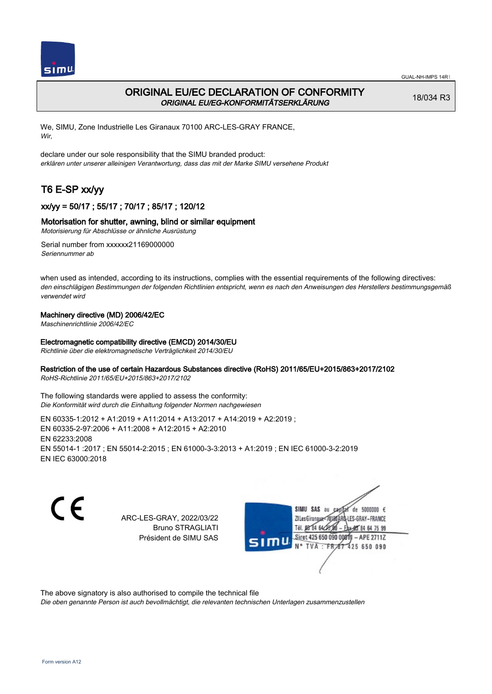

## ORIGINAL EU/EC DECLARATION OF CONFORMITY ORIGINAL EU/EG-KONFORMITÄTSERKLÄRUNG

18/034 R3

We, SIMU, Zone Industrielle Les Giranaux 70100 ARC-LES-GRAY FRANCE, Wir,

declare under our sole responsibility that the SIMU branded product: erklären unter unserer alleinigen Verantwortung, dass das mit der Marke SIMU versehene Produkt

# T6 E-SP xx/yy

## xx/yy = 50/17 ; 55/17 ; 70/17 ; 85/17 ; 120/12

#### Motorisation for shutter, awning, blind or similar equipment

Motorisierung für Abschlüsse or ähnliche Ausrüstung

Serial number from xxxxxx21169000000 Seriennummer ab

when used as intended, according to its instructions, complies with the essential requirements of the following directives: den einschlägigen Bestimmungen der folgenden Richtlinien entspricht, wenn es nach den Anweisungen des Herstellers bestimmungsgemäß verwendet wird

#### Machinery directive (MD) 2006/42/EC

Maschinenrichtlinie 2006/42/EC

#### Electromagnetic compatibility directive (EMCD) 2014/30/EU

Richtlinie über die elektromagnetische Verträglichkeit 2014/30/EU

#### Restriction of the use of certain Hazardous Substances directive (RoHS) 2011/65/EU+2015/863+2017/2102

RoHS-Richtlinie 2011/65/EU+2015/863+2017/2102

The following standards were applied to assess the conformity: Die Konformität wird durch die Einhaltung folgender Normen nachgewiesen

EN 60335‑1:2012 + A1:2019 + A11:2014 + A13:2017 + A14:2019 + A2:2019 ; EN 60335‑2‑97:2006 + A11:2008 + A12:2015 + A2:2010 EN 62233:2008 EN 55014‑1 :2017 ; EN 55014‑2:2015 ; EN 61000‑3‑3:2013 + A1:2019 ; EN IEC 61000‑3‑2:2019 EN IEC 63000:2018

CE

ARC-LES-GRAY, 2022/03/22 Bruno STRAGLIATI Président de SIMU SAS



The above signatory is also authorised to compile the technical file

Die oben genannte Person ist auch bevollmächtigt, die relevanten technischen Unterlagen zusammenzustellen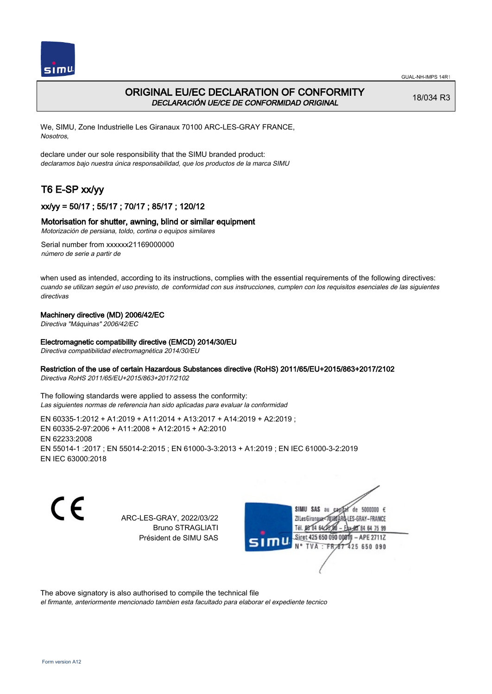



## ORIGINAL EU/EC DECLARATION OF CONFORMITY DECLARACIÓN UE/CE DE CONFORMIDAD ORIGINAL

18/034 R3

We, SIMU, Zone Industrielle Les Giranaux 70100 ARC-LES-GRAY FRANCE, Nosotros,

declare under our sole responsibility that the SIMU branded product: declaramos bajo nuestra única responsabilidad, que los productos de la marca SIMU

# T6 E-SP xx/yy

## xx/yy = 50/17 ; 55/17 ; 70/17 ; 85/17 ; 120/12

#### Motorisation for shutter, awning, blind or similar equipment

Motorización de persiana, toldo, cortina o equipos similares

Serial number from xxxxxx21169000000 número de serie a partir de

when used as intended, according to its instructions, complies with the essential requirements of the following directives: cuando se utilizan según el uso previsto, de conformidad con sus instrucciones, cumplen con los requisitos esenciales de las siguientes directivas

#### Machinery directive (MD) 2006/42/EC

Directiva "Máquinas" 2006/42/EC

#### Electromagnetic compatibility directive (EMCD) 2014/30/EU

Directiva compatibilidad electromagnética 2014/30/EU

#### Restriction of the use of certain Hazardous Substances directive (RoHS) 2011/65/EU+2015/863+2017/2102

Directiva RoHS 2011/65/EU+2015/863+2017/2102

The following standards were applied to assess the conformity: Las siguientes normas de referencia han sido aplicadas para evaluar la conformidad

EN 60335‑1:2012 + A1:2019 + A11:2014 + A13:2017 + A14:2019 + A2:2019 ; EN 60335‑2‑97:2006 + A11:2008 + A12:2015 + A2:2010 EN 62233:2008 EN 55014‑1 :2017 ; EN 55014‑2:2015 ; EN 61000‑3‑3:2013 + A1:2019 ; EN IEC 61000‑3‑2:2019 EN IEC 63000:2018

CE

ARC-LES-GRAY, 2022/03/22 Bruno STRAGLIATI Président de SIMU SAS



The above signatory is also authorised to compile the technical file

el firmante, anteriormente mencionado tambien esta facultado para elaborar el expediente tecnico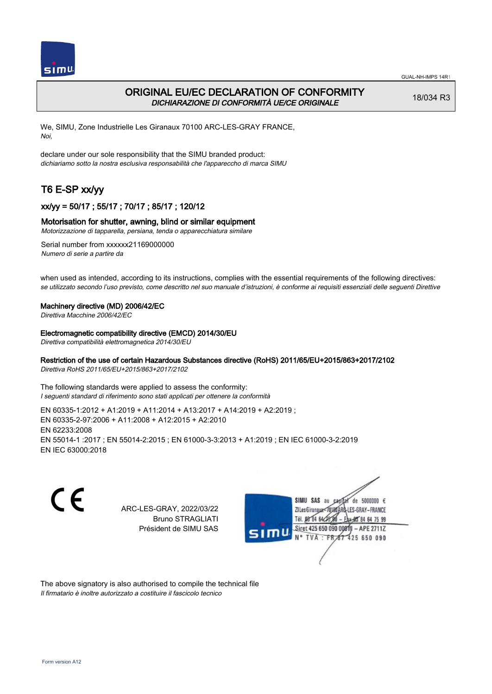

## ORIGINAL EU/EC DECLARATION OF CONFORMITY DICHIARAZIONE DI CONFORMITÀ UE/CE ORIGINALE

18/034 R3

We, SIMU, Zone Industrielle Les Giranaux 70100 ARC-LES-GRAY FRANCE, Noi,

declare under our sole responsibility that the SIMU branded product: dichiariamo sotto la nostra esclusiva responsabilità che l'appareccho di marca SIMU

# T6 E-SP xx/yy

## xx/yy = 50/17 ; 55/17 ; 70/17 ; 85/17 ; 120/12

#### Motorisation for shutter, awning, blind or similar equipment

Motorizzazione di tapparella, persiana, tenda o apparecchiatura similare

Serial number from xxxxxx21169000000 Numero di serie a partire da

when used as intended, according to its instructions, complies with the essential requirements of the following directives: se utilizzato secondo l'uso previsto, come descritto nel suo manuale d'istruzioni, è conforme ai requisiti essenziali delle seguenti Direttive

#### Machinery directive (MD) 2006/42/EC

Direttiva Macchine 2006/42/EC

#### Electromagnetic compatibility directive (EMCD) 2014/30/EU

Direttiva compatibilità elettromagnetica 2014/30/EU

## Restriction of the use of certain Hazardous Substances directive (RoHS) 2011/65/EU+2015/863+2017/2102

Direttiva RoHS 2011/65/EU+2015/863+2017/2102

The following standards were applied to assess the conformity: I seguenti standard di riferimento sono stati applicati per ottenere la conformità

EN 60335‑1:2012 + A1:2019 + A11:2014 + A13:2017 + A14:2019 + A2:2019 ; EN 60335‑2‑97:2006 + A11:2008 + A12:2015 + A2:2010 EN 62233:2008 EN 55014‑1 :2017 ; EN 55014‑2:2015 ; EN 61000‑3‑3:2013 + A1:2019 ; EN IEC 61000‑3‑2:2019 EN IEC 63000:2018

C E

ARC-LES-GRAY, 2022/03/22 Bruno STRAGLIATI Président de SIMU SAS



The above signatory is also authorised to compile the technical file Il firmatario è inoltre autorizzato a costituire il fascicolo tecnico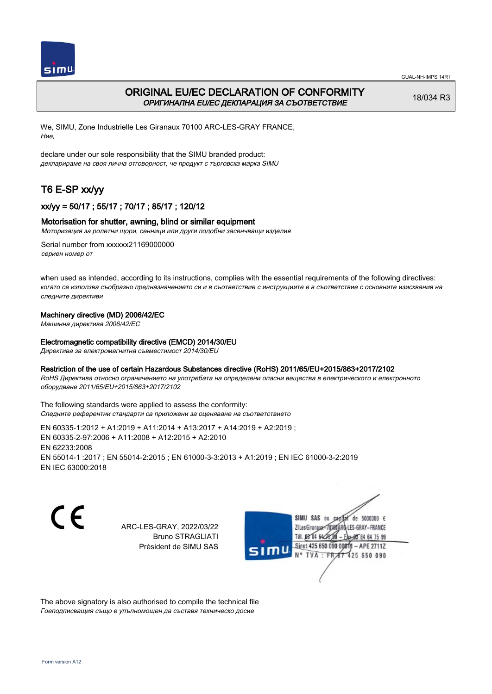



## ORIGINAL EU/EC DECLARATION OF CONFORMITY ОРИГИНАЛНА EU/EC ДЕКЛАРАЦИЯ ЗА СЪОТВЕТСТВИЕ

18/034 R3

We, SIMU, Zone Industrielle Les Giranaux 70100 ARC-LES-GRAY FRANCE, Ние,

declare under our sole responsibility that the SIMU branded product: декларираме на своя лична отговорност, че продукт с търговска марка SIMU

# T6 E-SP xx/yy

## xx/yy = 50/17 ; 55/17 ; 70/17 ; 85/17 ; 120/12

#### Motorisation for shutter, awning, blind or similar equipment

Моторизация за ролетни щори, сенници или други подобни засенчващи изделия

Serial number from xxxxxx21169000000 сериен номер от

when used as intended, according to its instructions, complies with the essential requirements of the following directives: когато се използва съобразно предназначението си и в съответствие с инструкциите е в съответствие с основните изисквания на следните директиви

#### Machinery directive (MD) 2006/42/EC

Машинна директива 2006/42/EC

#### Electromagnetic compatibility directive (EMCD) 2014/30/EU

Директива за електромагнитна съвместимост 2014/30/EU

#### Restriction of the use of certain Hazardous Substances directive (RoHS) 2011/65/EU+2015/863+2017/2102

RoHS Директива относно ограничението на употребата на определени опасни вещества в електрическото и електронното оборудване 2011/65/EU+2015/863+2017/2102

The following standards were applied to assess the conformity: Следните референтни стандарти са приложени за оценяване на съответствието

EN 60335‑1:2012 + A1:2019 + A11:2014 + A13:2017 + A14:2019 + A2:2019 ; EN 60335‑2‑97:2006 + A11:2008 + A12:2015 + A2:2010 EN 62233:2008 EN 55014‑1 :2017 ; EN 55014‑2:2015 ; EN 61000‑3‑3:2013 + A1:2019 ; EN IEC 61000‑3‑2:2019 EN IEC 63000:2018

C E

ARC-LES-GRAY, 2022/03/22 Bruno STRAGLIATI Président de SIMU SAS

SIMU SAS au  $cardiz$  de 5000000  $\epsilon$ LES-GRAY-FRANCE ZI Les Giranaux</DJ80AF Tél. 08 84 64 28 584 64 75 99 Siret 425 650 090 008TV  $-$  APE 2711Z N° TVA : FRAT 425 650 090

The above signatory is also authorised to compile the technical file Гоеподписващия също е упълномощен да съставя техническо досие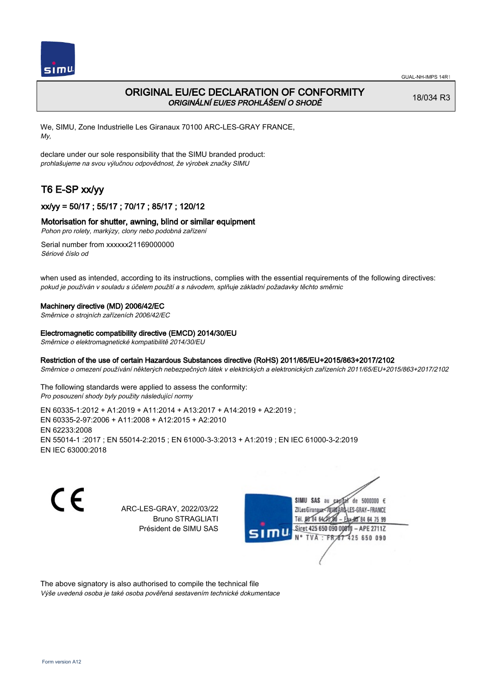

## ORIGINAL EU/EC DECLARATION OF CONFORMITY ORIGINÁLNÍ EU/ES PROHLÁŠENÍ O SHODĚ

18/034 R3

We, SIMU, Zone Industrielle Les Giranaux 70100 ARC-LES-GRAY FRANCE, My,

declare under our sole responsibility that the SIMU branded product: prohlašujeme na svou výlučnou odpovědnost, že výrobek značky SIMU

# T6 E-SP xx/yy

## xx/yy = 50/17 ; 55/17 ; 70/17 ; 85/17 ; 120/12

#### Motorisation for shutter, awning, blind or similar equipment

Pohon pro rolety, markýzy, clony nebo podobná zařízení

Serial number from xxxxxx21169000000 Sériové číslo od

when used as intended, according to its instructions, complies with the essential requirements of the following directives: pokud je používán v souladu s účelem použití a s návodem, splňuje základní požadavky těchto směrnic

#### Machinery directive (MD) 2006/42/EC

Směrnice o strojních zařízeních 2006/42/EC

#### Electromagnetic compatibility directive (EMCD) 2014/30/EU

Směrnice o elektromagnetické kompatibilitě 2014/30/EU

#### Restriction of the use of certain Hazardous Substances directive (RoHS) 2011/65/EU+2015/863+2017/2102

Směrnice o omezení používání některých nebezpečných látek v elektrických a elektronických zařízeních 2011/65/EU+2015/863+2017/2102

The following standards were applied to assess the conformity: Pro posouzení shody byly použity následující normy

EN 60335‑1:2012 + A1:2019 + A11:2014 + A13:2017 + A14:2019 + A2:2019 ; EN 60335‑2‑97:2006 + A11:2008 + A12:2015 + A2:2010 EN 62233:2008 EN 55014‑1 :2017 ; EN 55014‑2:2015 ; EN 61000‑3‑3:2013 + A1:2019 ; EN IEC 61000‑3‑2:2019 EN IEC 63000:2018

C E

ARC-LES-GRAY, 2022/03/22 Bruno STRAGLIATI Président de SIMU SAS



The above signatory is also authorised to compile the technical file Výše uvedená osoba je také osoba pověřená sestavením technické dokumentace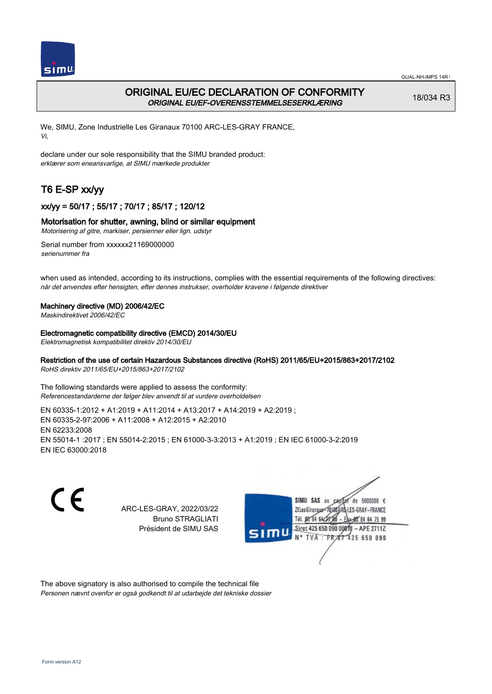



## ORIGINAL EU/EC DECLARATION OF CONFORMITY ORIGINAL EU/EF-OVERENSSTEMMELSESERKLÆRING

18/034 R3

We, SIMU, Zone Industrielle Les Giranaux 70100 ARC-LES-GRAY FRANCE, Vi,

declare under our sole responsibility that the SIMU branded product: erklærer som eneansvarlige, at SIMU mærkede produkter

# T6 E-SP xx/yy

## xx/yy = 50/17 ; 55/17 ; 70/17 ; 85/17 ; 120/12

#### Motorisation for shutter, awning, blind or similar equipment

Motorisering af gitre, markiser, persienner eller lign. udstyr

Serial number from xxxxxx21169000000 serienummer fra

when used as intended, according to its instructions, complies with the essential requirements of the following directives: når det anvendes efter hensigten, efter dennes instrukser, overholder kravene i følgende direktiver

#### Machinery directive (MD) 2006/42/EC

Maskindirektivet 2006/42/EC

#### Electromagnetic compatibility directive (EMCD) 2014/30/EU

Elektromagnetisk kompatibilitet direktiv 2014/30/EU

#### Restriction of the use of certain Hazardous Substances directive (RoHS) 2011/65/EU+2015/863+2017/2102

RoHS direktiv 2011/65/EU+2015/863+2017/2102

The following standards were applied to assess the conformity: Referencestandarderne der følger blev anvendt til at vurdere overholdelsen

EN 60335‑1:2012 + A1:2019 + A11:2014 + A13:2017 + A14:2019 + A2:2019 ; EN 60335‑2‑97:2006 + A11:2008 + A12:2015 + A2:2010 EN 62233:2008 EN 55014‑1 :2017 ; EN 55014‑2:2015 ; EN 61000‑3‑3:2013 + A1:2019 ; EN IEC 61000‑3‑2:2019 EN IEC 63000:2018

C E

ARC-LES-GRAY, 2022/03/22 Bruno STRAGLIATI Président de SIMU SAS



The above signatory is also authorised to compile the technical file Personen nævnt ovenfor er også godkendt til at udarbejde det tekniske dossier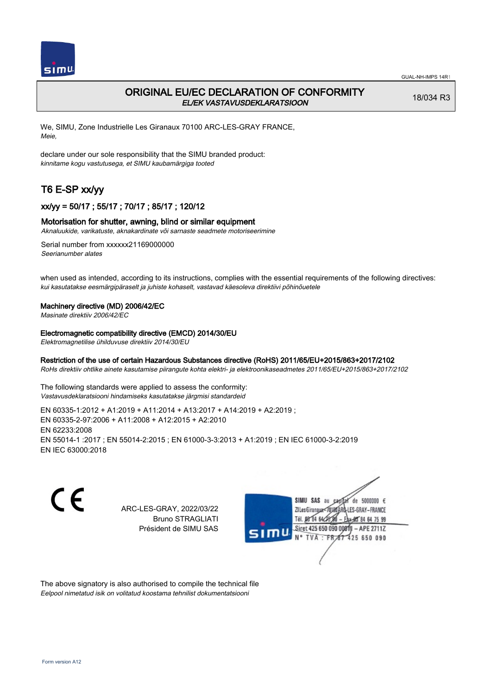

## ORIGINAL EU/EC DECLARATION OF CONFORMITY EL/EK VASTAVUSDEKLARATSIOON

18/034 R3

We, SIMU, Zone Industrielle Les Giranaux 70100 ARC-LES-GRAY FRANCE, Meie,

declare under our sole responsibility that the SIMU branded product: kinnitame kogu vastutusega, et SIMU kaubamärgiga tooted

# T6 E-SP xx/yy

## xx/yy = 50/17 ; 55/17 ; 70/17 ; 85/17 ; 120/12

#### Motorisation for shutter, awning, blind or similar equipment

Aknaluukide, varikatuste, aknakardinate või sarnaste seadmete motoriseerimine

Serial number from xxxxxx21169000000 Seerianumber alates

when used as intended, according to its instructions, complies with the essential requirements of the following directives: kui kasutatakse eesmärgipäraselt ja juhiste kohaselt, vastavad käesoleva direktiivi põhinõuetele

#### Machinery directive (MD) 2006/42/EC

Masinate direktiiv 2006/42/EC

#### Electromagnetic compatibility directive (EMCD) 2014/30/EU

Elektromagnetilise ühilduvuse direktiiv 2014/30/EU

#### Restriction of the use of certain Hazardous Substances directive (RoHS) 2011/65/EU+2015/863+2017/2102

RoHs direktiiv ohtlike ainete kasutamise piirangute kohta elektri- ja elektroonikaseadmetes 2011/65/EU+2015/863+2017/2102

The following standards were applied to assess the conformity: Vastavusdeklaratsiooni hindamiseks kasutatakse järgmisi standardeid

EN 60335‑1:2012 + A1:2019 + A11:2014 + A13:2017 + A14:2019 + A2:2019 ; EN 60335‑2‑97:2006 + A11:2008 + A12:2015 + A2:2010 EN 62233:2008 EN 55014‑1 :2017 ; EN 55014‑2:2015 ; EN 61000‑3‑3:2013 + A1:2019 ; EN IEC 61000‑3‑2:2019 EN IEC 63000:2018

C E

ARC-LES-GRAY, 2022/03/22 Bruno STRAGLIATI Président de SIMU SAS



The above signatory is also authorised to compile the technical file Eelpool nimetatud isik on volitatud koostama tehnilist dokumentatsiooni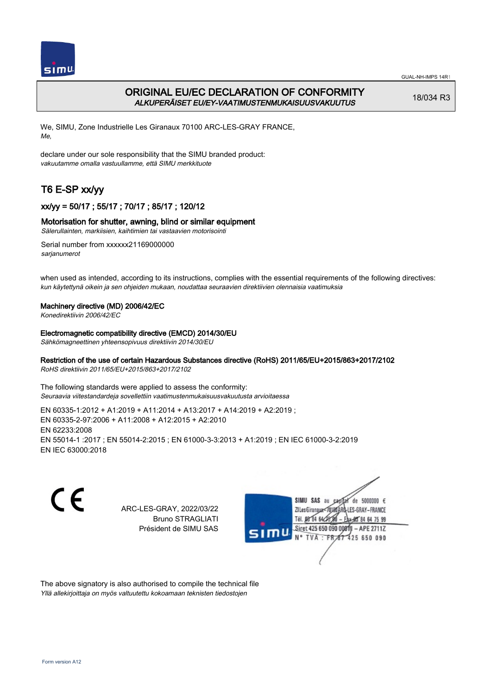

## ORIGINAL EU/EC DECLARATION OF CONFORMITY ALKUPERÄISET EU/EY-VAATIMUSTENMUKAISUUSVAKUUTUS

18/034 R3

We, SIMU, Zone Industrielle Les Giranaux 70100 ARC-LES-GRAY FRANCE, Me,

declare under our sole responsibility that the SIMU branded product: vakuutamme omalla vastuullamme, että SIMU merkkituote

# T6 E-SP xx/yy

## xx/yy = 50/17 ; 55/17 ; 70/17 ; 85/17 ; 120/12

#### Motorisation for shutter, awning, blind or similar equipment

Sälerullainten, markiisien, kaihtimien tai vastaavien motorisointi

Serial number from xxxxxx21169000000 sarianumerot

when used as intended, according to its instructions, complies with the essential requirements of the following directives: kun käytettynä oikein ja sen ohjeiden mukaan, noudattaa seuraavien direktiivien olennaisia vaatimuksia

#### Machinery directive (MD) 2006/42/EC

Konedirektiivin 2006/42/EC

#### Electromagnetic compatibility directive (EMCD) 2014/30/EU

Sähkömagneettinen yhteensopivuus direktiivin 2014/30/EU

## Restriction of the use of certain Hazardous Substances directive (RoHS) 2011/65/EU+2015/863+2017/2102

RoHS direktiivin 2011/65/EU+2015/863+2017/2102

The following standards were applied to assess the conformity: Seuraavia viitestandardeja sovellettiin vaatimustenmukaisuusvakuutusta arvioitaessa

EN 60335‑1:2012 + A1:2019 + A11:2014 + A13:2017 + A14:2019 + A2:2019 ; EN 60335‑2‑97:2006 + A11:2008 + A12:2015 + A2:2010 EN 62233:2008 EN 55014‑1 :2017 ; EN 55014‑2:2015 ; EN 61000‑3‑3:2013 + A1:2019 ; EN IEC 61000‑3‑2:2019 EN IEC 63000:2018

C E

ARC-LES-GRAY, 2022/03/22 Bruno STRAGLIATI Président de SIMU SAS



The above signatory is also authorised to compile the technical file Yllä allekirjoittaja on myös valtuutettu kokoamaan teknisten tiedostojen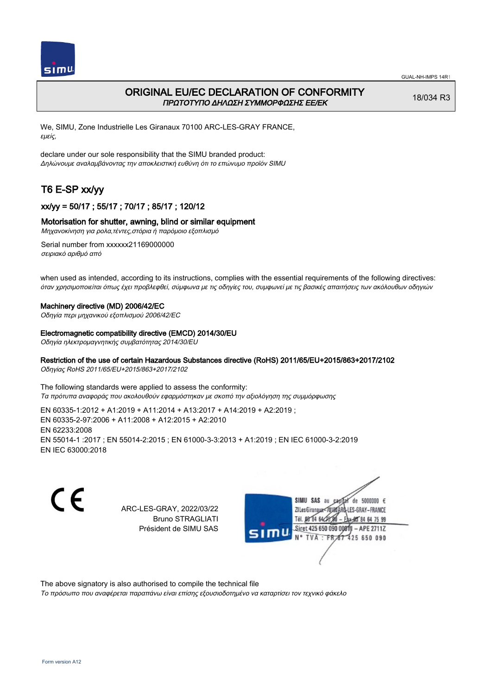

## ORIGINAL EU/EC DECLARATION OF CONFORMITY ΠΡΩΤΟΤΥΠΟ ΔΗΛΩΣΗ ΣΥΜΜΟΡΦΩΣΗΣ ΕΕ/EK

18/034 R3

We, SIMU, Zone Industrielle Les Giranaux 70100 ARC-LES-GRAY FRANCE, εμείς,

declare under our sole responsibility that the SIMU branded product: Δηλώνουμε αναλαμβάνοντας την αποκλειστική ευθύνη ότι το επώνυμο προϊόν SIMU

# T6 E-SP xx/yy

## xx/yy = 50/17 ; 55/17 ; 70/17 ; 85/17 ; 120/12

### Motorisation for shutter, awning, blind or similar equipment

Μηχανοκίνηση για ρολα,τέντες,στόρια ή παρόμοιο εξοπλισμό

Serial number from xxxxxx21169000000 σειριακό αριθμό από

when used as intended, according to its instructions, complies with the essential requirements of the following directives: όταν χρησιμοποιείται όπως έχει προβλεφθεί, σύμφωνα με τις οδηγίες του, συμφωνεί με τις βασικές απαιτήσεις των ακόλουθων οδηγιών

#### Machinery directive (MD) 2006/42/EC

Οδηγία περι μηχανικού εξοπλισμού 2006/42/EC

#### Electromagnetic compatibility directive (EMCD) 2014/30/EU

Οδηγία ηλεκτρομαγνητικής συμβατότητας 2014/30/EU

#### Restriction of the use of certain Hazardous Substances directive (RoHS) 2011/65/EU+2015/863+2017/2102

Οδηγίας RoHS 2011/65/EU+2015/863+2017/2102

The following standards were applied to assess the conformity: Τα πρότυπα αναφοράς που ακολουθούν εφαρμόστηκαν με σκοπό την αξιολόγηση της συμμόρφωσης

EN 60335‑1:2012 + A1:2019 + A11:2014 + A13:2017 + A14:2019 + A2:2019 ; EN 60335‑2‑97:2006 + A11:2008 + A12:2015 + A2:2010 EN 62233:2008 EN 55014‑1 :2017 ; EN 55014‑2:2015 ; EN 61000‑3‑3:2013 + A1:2019 ; EN IEC 61000‑3‑2:2019 EN IEC 63000:2018

C E

ARC-LES-GRAY, 2022/03/22 Bruno STRAGLIATI Président de SIMU SAS



The above signatory is also authorised to compile the technical file

Το πρόσωπο που αναφέρεται παραπάνω είναι επίσης εξουσιοδοτημένο να καταρτίσει τον τεχνικό φάκελο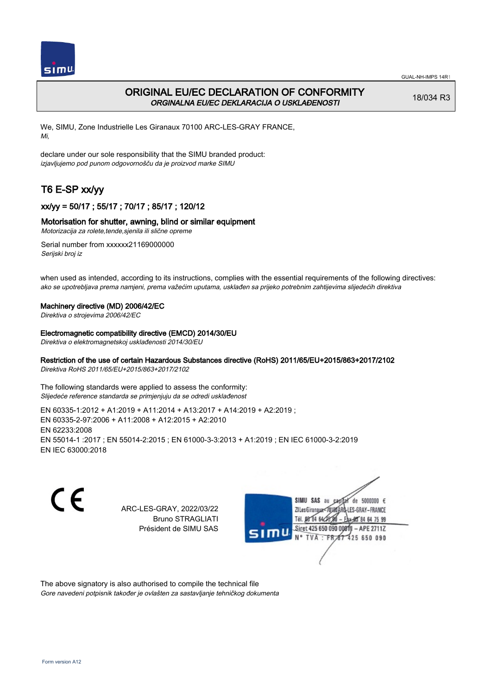

## ORIGINAL EU/EC DECLARATION OF CONFORMITY ORGINALNA EU/EC DEKLARACIJA O USKLAĐENOSTI

18/034 R3

We, SIMU, Zone Industrielle Les Giranaux 70100 ARC-LES-GRAY FRANCE, Mi,

declare under our sole responsibility that the SIMU branded product: izjavljujemo pod punom odgovornošču da je proizvod marke SIMU

# T6 E-SP xx/yy

## xx/yy = 50/17 ; 55/17 ; 70/17 ; 85/17 ; 120/12

### Motorisation for shutter, awning, blind or similar equipment

Motorizacija za rolete,tende,sjenila ili slične opreme

Serial number from xxxxxx21169000000 Serijski broj iz

when used as intended, according to its instructions, complies with the essential requirements of the following directives: ako se upotrebljava prema namjeni, prema važećim uputama, usklađen sa prijeko potrebnim zahtijevima slijedećih direktiva

#### Machinery directive (MD) 2006/42/EC

Direktiva o strojevima 2006/42/EC

#### Electromagnetic compatibility directive (EMCD) 2014/30/EU

Direktiva o elektromagnetskoj usklađenosti 2014/30/EU

## Restriction of the use of certain Hazardous Substances directive (RoHS) 2011/65/EU+2015/863+2017/2102

Direktiva RoHS 2011/65/EU+2015/863+2017/2102

The following standards were applied to assess the conformity: Slijedeće reference standarda se primjenjuju da se odredi usklađenost

EN 60335‑1:2012 + A1:2019 + A11:2014 + A13:2017 + A14:2019 + A2:2019 ; EN 60335‑2‑97:2006 + A11:2008 + A12:2015 + A2:2010 EN 62233:2008 EN 55014‑1 :2017 ; EN 55014‑2:2015 ; EN 61000‑3‑3:2013 + A1:2019 ; EN IEC 61000‑3‑2:2019 EN IEC 63000:2018

C E

ARC-LES-GRAY, 2022/03/22 Bruno STRAGLIATI Président de SIMU SAS



The above signatory is also authorised to compile the technical file Gore navedeni potpisnik također je ovlašten za sastavljanje tehničkog dokumenta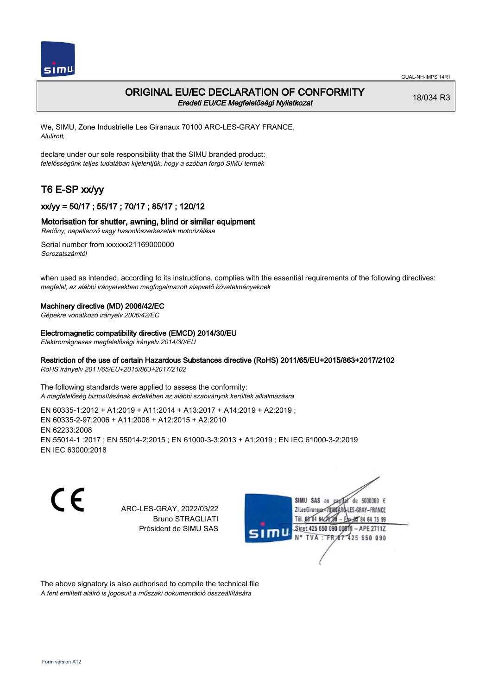

## ORIGINAL EU/EC DECLARATION OF CONFORMITY Eredeti EU/CE Megfelelőségi Nyilatkozat

18/034 R3

We, SIMU, Zone Industrielle Les Giranaux 70100 ARC-LES-GRAY FRANCE, Alulírott,

declare under our sole responsibility that the SIMU branded product: felelősségünk teljes tudatában kijelentjük, hogy a szóban forgó SIMU termék

# T6 E-SP xx/yy

### xx/yy = 50/17 ; 55/17 ; 70/17 ; 85/17 ; 120/12

#### Motorisation for shutter, awning, blind or similar equipment

Redőny, napellenző vagy hasonlószerkezetek motorizálása

Serial number from xxxxxx21169000000 Sorozatszámtól

when used as intended, according to its instructions, complies with the essential requirements of the following directives: megfelel, az alábbi irányelvekben megfogalmazott alapvető követelményeknek

#### Machinery directive (MD) 2006/42/EC

Gépekre vonatkozó irányelv 2006/42/EC

#### Electromagnetic compatibility directive (EMCD) 2014/30/EU

Elektromágneses megfelelőségi irányelv 2014/30/EU

#### Restriction of the use of certain Hazardous Substances directive (RoHS) 2011/65/EU+2015/863+2017/2102

RoHS irányelv 2011/65/EU+2015/863+2017/2102

The following standards were applied to assess the conformity: A megfelelőség biztosításának érdekében az alábbi szabványok kerültek alkalmazásra

EN 60335‑1:2012 + A1:2019 + A11:2014 + A13:2017 + A14:2019 + A2:2019 ; EN 60335‑2‑97:2006 + A11:2008 + A12:2015 + A2:2010 EN 62233:2008 EN 55014‑1 :2017 ; EN 55014‑2:2015 ; EN 61000‑3‑3:2013 + A1:2019 ; EN IEC 61000‑3‑2:2019 EN IEC 63000:2018

C E

ARC-LES-GRAY, 2022/03/22 Bruno STRAGLIATI Président de SIMU SAS



The above signatory is also authorised to compile the technical file A fent említett aláíró is jogosult a műszaki dokumentáció összeállítására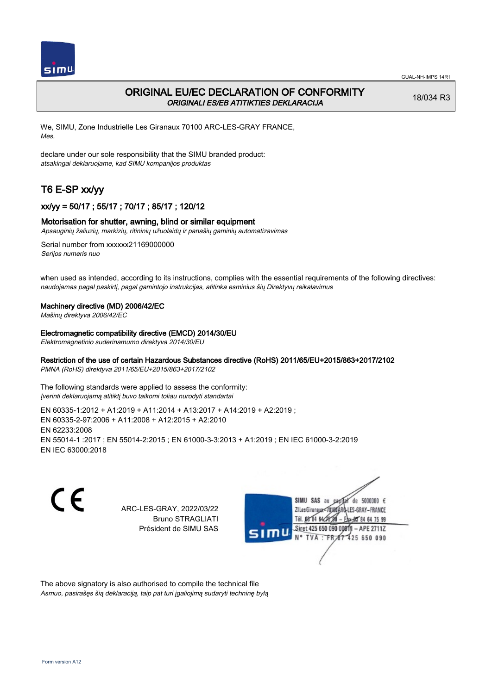

## ORIGINAL EU/EC DECLARATION OF CONFORMITY ORIGINALI ES/EB ATITIKTIES DEKLARACIJA

18/034 R3

We, SIMU, Zone Industrielle Les Giranaux 70100 ARC-LES-GRAY FRANCE, Mes,

declare under our sole responsibility that the SIMU branded product: atsakingai deklaruojame, kad SIMU kompanijos produktas

# T6 E-SP xx/yy

## xx/yy = 50/17 ; 55/17 ; 70/17 ; 85/17 ; 120/12

#### Motorisation for shutter, awning, blind or similar equipment

Apsauginių žaliuzių, markizių, ritininių užuolaidų ir panašių gaminių automatizavimas

Serial number from xxxxxx21169000000 Serijos numeris nuo

when used as intended, according to its instructions, complies with the essential requirements of the following directives: naudojamas pagal paskirtį, pagal gamintojo instrukcijas, atitinka esminius šių Direktyvų reikalavimus

#### Machinery directive (MD) 2006/42/EC

Mašinų direktyva 2006/42/EC

Electromagnetic compatibility directive (EMCD) 2014/30/EU

Elektromagnetinio suderinamumo direktyva 2014/30/EU

### Restriction of the use of certain Hazardous Substances directive (RoHS) 2011/65/EU+2015/863+2017/2102

PMNA (RoHS) direktyva 2011/65/EU+2015/863+2017/2102

The following standards were applied to assess the conformity: Įverinti deklaruojamą atitiktį buvo taikomi toliau nurodyti standartai

EN 60335‑1:2012 + A1:2019 + A11:2014 + A13:2017 + A14:2019 + A2:2019 ; EN 60335‑2‑97:2006 + A11:2008 + A12:2015 + A2:2010 EN 62233:2008 EN 55014‑1 :2017 ; EN 55014‑2:2015 ; EN 61000‑3‑3:2013 + A1:2019 ; EN IEC 61000‑3‑2:2019 EN IEC 63000:2018

C E

ARC-LES-GRAY, 2022/03/22 Bruno STRAGLIATI Président de SIMU SAS



The above signatory is also authorised to compile the technical file Asmuo, pasirašęs šią deklaraciją, taip pat turi įgaliojimą sudaryti techninę bylą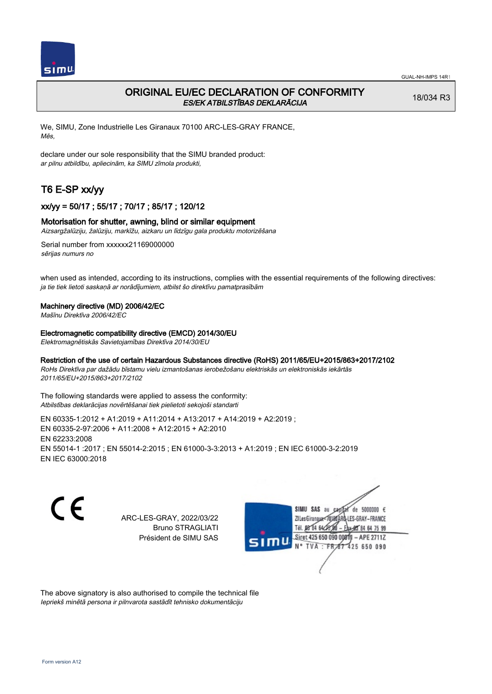

## ORIGINAL EU/EC DECLARATION OF CONFORMITY ES/EK ATBILSTĪBAS DEKLARĀCIJA

18/034 R3

We, SIMU, Zone Industrielle Les Giranaux 70100 ARC-LES-GRAY FRANCE, Mēs,

declare under our sole responsibility that the SIMU branded product: ar pilnu atbildību, apliecinām, ka SIMU zīmola produkti,

# T6 E-SP xx/yy

## xx/yy = 50/17 ; 55/17 ; 70/17 ; 85/17 ; 120/12

#### Motorisation for shutter, awning, blind or similar equipment

Aizsargžalūziju, žalūziju, markīžu, aizkaru un līdzīgu gala produktu motorizēšana

Serial number from xxxxxx21169000000 sērijas numurs no

when used as intended, according to its instructions, complies with the essential requirements of the following directives: ja tie tiek lietoti saskaņā ar norādījumiem, atbilst šo direktīvu pamatprasībām

#### Machinery directive (MD) 2006/42/EC

Mašīnu Direktīva 2006/42/EC

Electromagnetic compatibility directive (EMCD) 2014/30/EU

Elektromagnētiskās Savietojamības Direktīva 2014/30/EU

#### Restriction of the use of certain Hazardous Substances directive (RoHS) 2011/65/EU+2015/863+2017/2102

RoHs Direktīva par dažādu bīstamu vielu izmantošanas ierobežošanu elektriskās un elektroniskās iekārtās 2011/65/EU+2015/863+2017/2102

The following standards were applied to assess the conformity: Atbilstības deklarācijas novērtēšanai tiek pielietoti sekojoši standarti

EN 60335‑1:2012 + A1:2019 + A11:2014 + A13:2017 + A14:2019 + A2:2019 ; EN 60335‑2‑97:2006 + A11:2008 + A12:2015 + A2:2010 EN 62233:2008 EN 55014‑1 :2017 ; EN 55014‑2:2015 ; EN 61000‑3‑3:2013 + A1:2019 ; EN IEC 61000‑3‑2:2019 EN IEC 63000:2018

CE

ARC-LES-GRAY, 2022/03/22 Bruno STRAGLIATI Président de SIMU SAS



The above signatory is also authorised to compile the technical file Iepriekš minētā persona ir pilnvarota sastādīt tehnisko dokumentāciju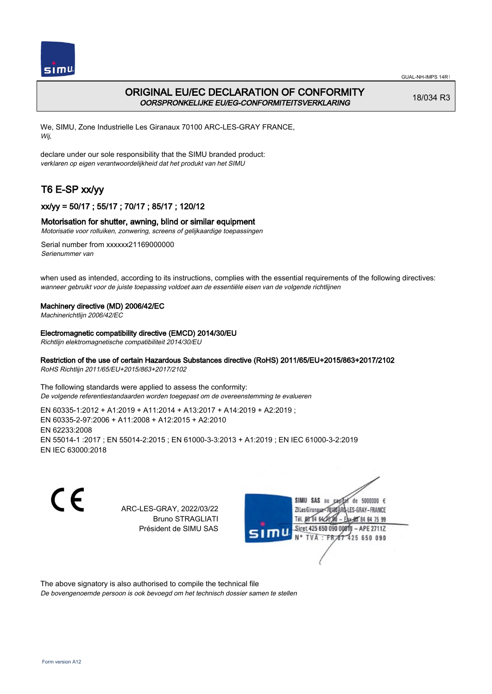

## ORIGINAL EU/EC DECLARATION OF CONFORMITY OORSPRONKELIJKE EU/EG-CONFORMITEITSVERKLARING

18/034 R3

We, SIMU, Zone Industrielle Les Giranaux 70100 ARC-LES-GRAY FRANCE, Wij,

declare under our sole responsibility that the SIMU branded product: verklaren op eigen verantwoordelijkheid dat het produkt van het SIMU

# T6 E-SP xx/yy

## xx/yy = 50/17 ; 55/17 ; 70/17 ; 85/17 ; 120/12

#### Motorisation for shutter, awning, blind or similar equipment

Motorisatie voor rolluiken, zonwering, screens of gelijkaardige toepassingen

Serial number from xxxxxx21169000000 Serienummer van

when used as intended, according to its instructions, complies with the essential requirements of the following directives: wanneer gebruikt voor de juiste toepassing voldoet aan de essentiële eisen van de volgende richtlijnen

#### Machinery directive (MD) 2006/42/EC

Machinerichtlijn 2006/42/EC

Electromagnetic compatibility directive (EMCD) 2014/30/EU

Richtlijn elektromagnetische compatibiliteit 2014/30/EU

#### Restriction of the use of certain Hazardous Substances directive (RoHS) 2011/65/EU+2015/863+2017/2102

RoHS Richtlijn 2011/65/EU+2015/863+2017/2102

The following standards were applied to assess the conformity: De volgende referentiestandaarden worden toegepast om de overeenstemming te evalueren

EN 60335‑1:2012 + A1:2019 + A11:2014 + A13:2017 + A14:2019 + A2:2019 ; EN 60335‑2‑97:2006 + A11:2008 + A12:2015 + A2:2010 EN 62233:2008 EN 55014‑1 :2017 ; EN 55014‑2:2015 ; EN 61000‑3‑3:2013 + A1:2019 ; EN IEC 61000‑3‑2:2019 EN IEC 63000:2018

C E

ARC-LES-GRAY, 2022/03/22 Bruno STRAGLIATI Président de SIMU SAS



The above signatory is also authorised to compile the technical file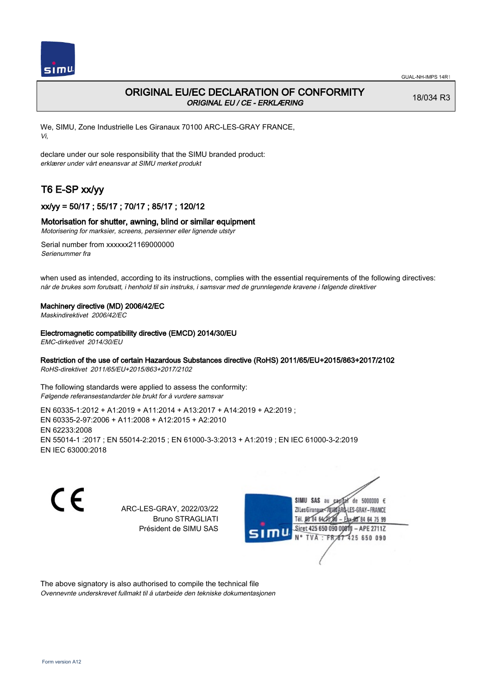

## ORIGINAL EU/EC DECLARATION OF CONFORMITY ORIGINAL EU / CE - ERKLÆRING

18/034 R3

We, SIMU, Zone Industrielle Les Giranaux 70100 ARC-LES-GRAY FRANCE, Vi,

declare under our sole responsibility that the SIMU branded product: erklærer under vårt eneansvar at SIMU merket produkt

# T6 E-SP xx/yy

## xx/yy = 50/17 ; 55/17 ; 70/17 ; 85/17 ; 120/12

#### Motorisation for shutter, awning, blind or similar equipment

Motorisering for marksier, screens, persienner eller lignende utstyr

Serial number from xxxxxx21169000000 Serienummer fra

when used as intended, according to its instructions, complies with the essential requirements of the following directives: når de brukes som forutsatt, i henhold til sin instruks, i samsvar med de grunnlegende kravene i følgende direktiver

#### Machinery directive (MD) 2006/42/EC

Maskindirektivet 2006/42/EC

#### Electromagnetic compatibility directive (EMCD) 2014/30/EU

EMC-dirketivet 2014/30/EU

### Restriction of the use of certain Hazardous Substances directive (RoHS) 2011/65/EU+2015/863+2017/2102

RoHS-direktivet 2011/65/EU+2015/863+2017/2102

The following standards were applied to assess the conformity: Følgende referansestandarder ble brukt for å vurdere samsvar

EN 60335‑1:2012 + A1:2019 + A11:2014 + A13:2017 + A14:2019 + A2:2019 ; EN 60335‑2‑97:2006 + A11:2008 + A12:2015 + A2:2010 EN 62233:2008 EN 55014‑1 :2017 ; EN 55014‑2:2015 ; EN 61000‑3‑3:2013 + A1:2019 ; EN IEC 61000‑3‑2:2019 EN IEC 63000:2018

C E

ARC-LES-GRAY, 2022/03/22 Bruno STRAGLIATI Président de SIMU SAS



The above signatory is also authorised to compile the technical file Ovennevnte underskrevet fullmakt til å utarbeide den tekniske dokumentasjonen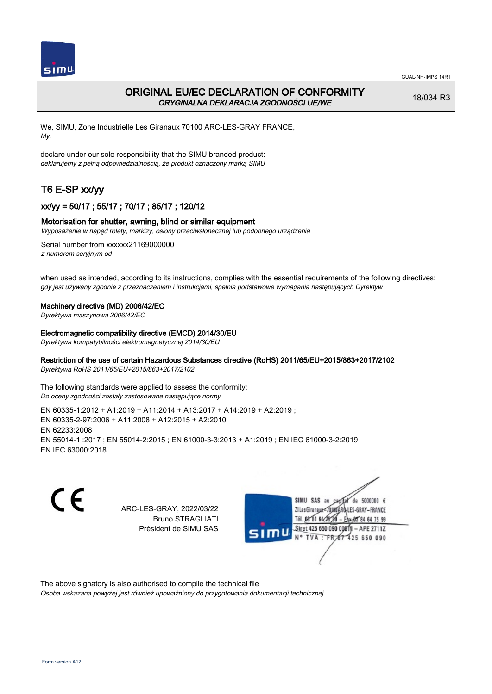

## ORIGINAL EU/EC DECLARATION OF CONFORMITY ORYGINALNA DEKLARACJA ZGODNOŚCI UE/WE

18/034 R3

We, SIMU, Zone Industrielle Les Giranaux 70100 ARC-LES-GRAY FRANCE, My,

declare under our sole responsibility that the SIMU branded product: deklarujemy z pełną odpowiedzialnością, że produkt oznaczony marką SIMU

# T6 E-SP xx/yy

## xx/yy = 50/17 ; 55/17 ; 70/17 ; 85/17 ; 120/12

#### Motorisation for shutter, awning, blind or similar equipment

Wyposażenie w napęd rolety, markizy, osłony przeciwsłonecznej lub podobnego urządzenia

Serial number from xxxxxx21169000000 z numerem seryjnym od

when used as intended, according to its instructions, complies with the essential requirements of the following directives: gdy jest używany zgodnie z przeznaczeniem i instrukcjami, spełnia podstawowe wymagania następujących Dyrektyw

#### Machinery directive (MD) 2006/42/EC

Dyrektywa maszynowa 2006/42/EC

#### Electromagnetic compatibility directive (EMCD) 2014/30/EU

Dyrektywa kompatybilności elektromagnetycznej 2014/30/EU

## Restriction of the use of certain Hazardous Substances directive (RoHS) 2011/65/EU+2015/863+2017/2102

Dyrektywa RoHS 2011/65/EU+2015/863+2017/2102

The following standards were applied to assess the conformity: Do oceny zgodności zostały zastosowane następujące normy

EN 60335‑1:2012 + A1:2019 + A11:2014 + A13:2017 + A14:2019 + A2:2019 ; EN 60335‑2‑97:2006 + A11:2008 + A12:2015 + A2:2010 EN 62233:2008 EN 55014‑1 :2017 ; EN 55014‑2:2015 ; EN 61000‑3‑3:2013 + A1:2019 ; EN IEC 61000‑3‑2:2019 EN IEC 63000:2018

C E

ARC-LES-GRAY, 2022/03/22 Bruno STRAGLIATI Président de SIMU SAS



The above signatory is also authorised to compile the technical file

Osoba wskazana powyżej jest również upoważniony do przygotowania dokumentacji technicznej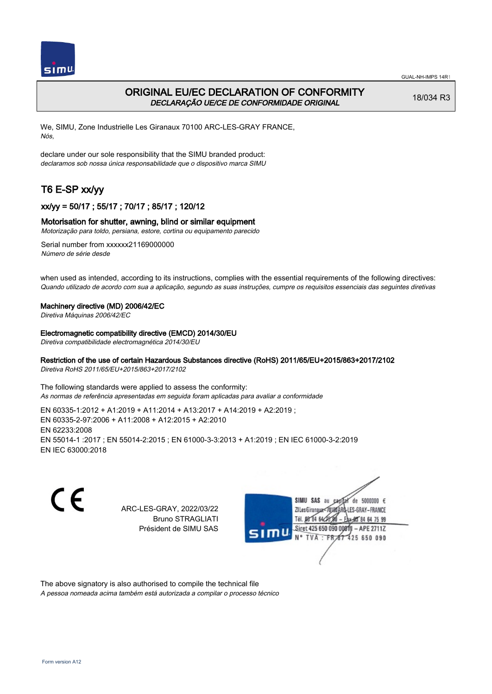



## ORIGINAL EU/EC DECLARATION OF CONFORMITY DECLARAÇÃO UE/CE DE CONFORMIDADE ORIGINAL

18/034 R3

We, SIMU, Zone Industrielle Les Giranaux 70100 ARC-LES-GRAY FRANCE, Nós,

declare under our sole responsibility that the SIMU branded product: declaramos sob nossa única responsabilidade que o dispositivo marca SIMU

# T6 E-SP xx/yy

## xx/yy = 50/17 ; 55/17 ; 70/17 ; 85/17 ; 120/12

### Motorisation for shutter, awning, blind or similar equipment

Motorização para toldo, persiana, estore, cortina ou equipamento parecido

Serial number from xxxxxx21169000000 Número de série desde

when used as intended, according to its instructions, complies with the essential requirements of the following directives: Quando utilizado de acordo com sua a aplicação, segundo as suas instruções, cumpre os requisitos essenciais das seguintes diretivas

#### Machinery directive (MD) 2006/42/EC

Diretiva Máquinas 2006/42/EC

Electromagnetic compatibility directive (EMCD) 2014/30/EU

Diretiva compatibilidade electromagnética 2014/30/EU

#### Restriction of the use of certain Hazardous Substances directive (RoHS) 2011/65/EU+2015/863+2017/2102

Diretiva RoHS 2011/65/EU+2015/863+2017/2102

The following standards were applied to assess the conformity: As normas de referência apresentadas em seguida foram aplicadas para avaliar a conformidade

EN 60335‑1:2012 + A1:2019 + A11:2014 + A13:2017 + A14:2019 + A2:2019 ; EN 60335‑2‑97:2006 + A11:2008 + A12:2015 + A2:2010 EN 62233:2008 EN 55014‑1 :2017 ; EN 55014‑2:2015 ; EN 61000‑3‑3:2013 + A1:2019 ; EN IEC 61000‑3‑2:2019 EN IEC 63000:2018

C E

ARC-LES-GRAY, 2022/03/22 Bruno STRAGLIATI Président de SIMU SAS



The above signatory is also authorised to compile the technical file

A pessoa nomeada acima também está autorizada a compilar o processo técnico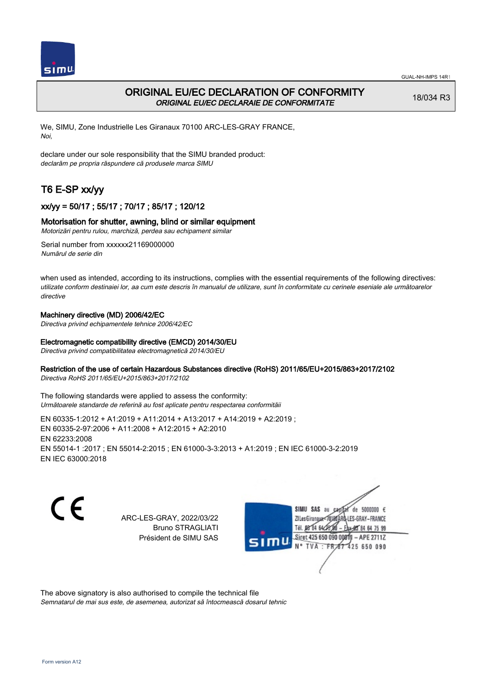



## ORIGINAL EU/EC DECLARATION OF CONFORMITY ORIGINAL EU/EC DECLARAIE DE CONFORMITATE

18/034 R3

We, SIMU, Zone Industrielle Les Giranaux 70100 ARC-LES-GRAY FRANCE, Noi,

declare under our sole responsibility that the SIMU branded product: declarăm pe propria răspundere că produsele marca SIMU

# T6 E-SP xx/yy

## xx/yy = 50/17 ; 55/17 ; 70/17 ; 85/17 ; 120/12

#### Motorisation for shutter, awning, blind or similar equipment

Motorizări pentru rulou, marchiză, perdea sau echipament similar

Serial number from xxxxxx21169000000 Numărul de serie din

when used as intended, according to its instructions, complies with the essential requirements of the following directives: utilizate conform destinaiei lor, aa cum este descris în manualul de utilizare, sunt în conformitate cu cerinele eseniale ale următoarelor directive

### Machinery directive (MD) 2006/42/EC

Directiva privind echipamentele tehnice 2006/42/EC

#### Electromagnetic compatibility directive (EMCD) 2014/30/EU

Directiva privind compatibilitatea electromagnetică 2014/30/EU

#### Restriction of the use of certain Hazardous Substances directive (RoHS) 2011/65/EU+2015/863+2017/2102

Directiva RoHS 2011/65/EU+2015/863+2017/2102

The following standards were applied to assess the conformity: Următoarele standarde de referină au fost aplicate pentru respectarea conformităii

EN 60335‑1:2012 + A1:2019 + A11:2014 + A13:2017 + A14:2019 + A2:2019 ; EN 60335‑2‑97:2006 + A11:2008 + A12:2015 + A2:2010 EN 62233:2008 EN 55014‑1 :2017 ; EN 55014‑2:2015 ; EN 61000‑3‑3:2013 + A1:2019 ; EN IEC 61000‑3‑2:2019 EN IEC 63000:2018

CE

ARC-LES-GRAY, 2022/03/22 Bruno STRAGLIATI Président de SIMU SAS



The above signatory is also authorised to compile the technical file

Semnatarul de mai sus este, de asemenea, autorizat să întocmească dosarul tehnic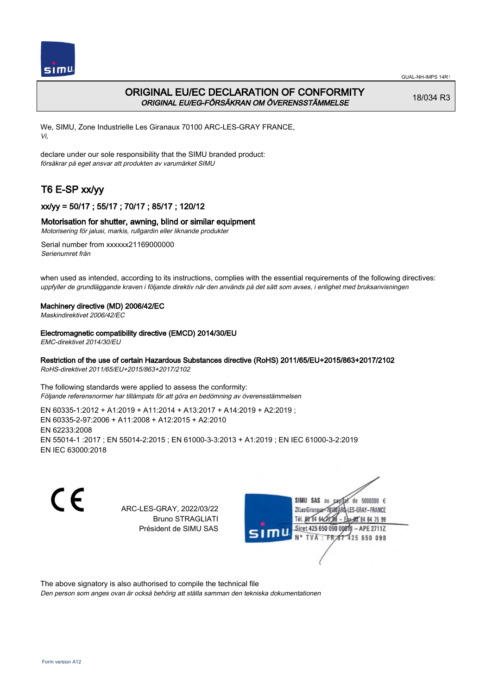

## ORIGINAL EU/EC DECLARATION OF CONFORMITY ORIGINAL EU/EG-FÖRSÄKRAN OM ÖVERENSSTÄMMELSE

18/034 R3

We, SIMU, Zone Industrielle Les Giranaux 70100 ARC-LES-GRAY FRANCE, Vi,

declare under our sole responsibility that the SIMU branded product: försäkrar på eget ansvar att produkten av varumärket SIMU

# T6 E-SP xx/yy

## xx/yy = 50/17 ; 55/17 ; 70/17 ; 85/17 ; 120/12

#### Motorisation for shutter, awning, blind or similar equipment

Motorisering för jalusi, markis, rullgardin eller liknande produkter

Serial number from xxxxxx21169000000 Serienumret från

when used as intended, according to its instructions, complies with the essential requirements of the following directives: uppfyller de grundläggande kraven i följande direktiv när den används på det sätt som avses, i enlighet med bruksanvisningen

#### Machinery directive (MD) 2006/42/EC

Maskindirektivet 2006/42/EC

#### Electromagnetic compatibility directive (EMCD) 2014/30/EU

EMC-direktivet 2014/30/EU

#### Restriction of the use of certain Hazardous Substances directive (RoHS) 2011/65/EU+2015/863+2017/2102

RoHS-direktivet 2011/65/EU+2015/863+2017/2102

The following standards were applied to assess the conformity: Följande referensnormer har tillämpats för att göra en bedömning av överensstämmelsen

EN 60335‑1:2012 + A1:2019 + A11:2014 + A13:2017 + A14:2019 + A2:2019 ; EN 60335‑2‑97:2006 + A11:2008 + A12:2015 + A2:2010 EN 62233:2008 EN 55014‑1 :2017 ; EN 55014‑2:2015 ; EN 61000‑3‑3:2013 + A1:2019 ; EN IEC 61000‑3‑2:2019 EN IEC 63000:2018

C E

ARC-LES-GRAY, 2022/03/22 Bruno STRAGLIATI Président de SIMU SAS



The above signatory is also authorised to compile the technical file

Den person som anges ovan är också behörig att ställa samman den tekniska dokumentationen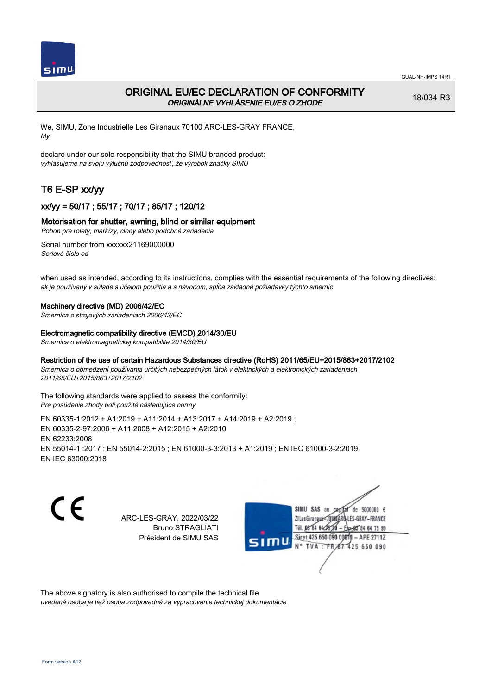

## ORIGINAL EU/EC DECLARATION OF CONFORMITY ORIGINÁLNE VYHLÁSENIE EU/ES O ZHODE

18/034 R3

We, SIMU, Zone Industrielle Les Giranaux 70100 ARC-LES-GRAY FRANCE, My,

declare under our sole responsibility that the SIMU branded product: vyhlasujeme na svoju výlučnú zodpovednosť, že výrobok značky SIMU

# T6 E-SP xx/yy

## xx/yy = 50/17 ; 55/17 ; 70/17 ; 85/17 ; 120/12

#### Motorisation for shutter, awning, blind or similar equipment

Pohon pre rolety, markízy, clony alebo podobné zariadenia

Serial number from xxxxxx21169000000 Seriové číslo od

when used as intended, according to its instructions, complies with the essential requirements of the following directives: ak je používaný v súlade s účelom použitia a s návodom, spĺňa základné požiadavky týchto smerníc

#### Machinery directive (MD) 2006/42/EC

Smernica o strojových zariadeniach 2006/42/EC

#### Electromagnetic compatibility directive (EMCD) 2014/30/EU

Smernica o elektromagnetickej kompatibilite 2014/30/EU

#### Restriction of the use of certain Hazardous Substances directive (RoHS) 2011/65/EU+2015/863+2017/2102

Smernica o obmedzení používania určitých nebezpečných látok v elektrických a elektronických zariadeniach 2011/65/EU+2015/863+2017/2102

The following standards were applied to assess the conformity: Pre posúdenie zhody boli použité následujúce normy

EN 60335‑1:2012 + A1:2019 + A11:2014 + A13:2017 + A14:2019 + A2:2019 ; EN 60335‑2‑97:2006 + A11:2008 + A12:2015 + A2:2010 EN 62233:2008 EN 55014‑1 :2017 ; EN 55014‑2:2015 ; EN 61000‑3‑3:2013 + A1:2019 ; EN IEC 61000‑3‑2:2019 EN IEC 63000:2018

CE

ARC-LES-GRAY, 2022/03/22 Bruno STRAGLIATI Président de SIMU SAS



The above signatory is also authorised to compile the technical file

uvedená osoba je tiež osoba zodpovedná za vypracovanie technickej dokumentácie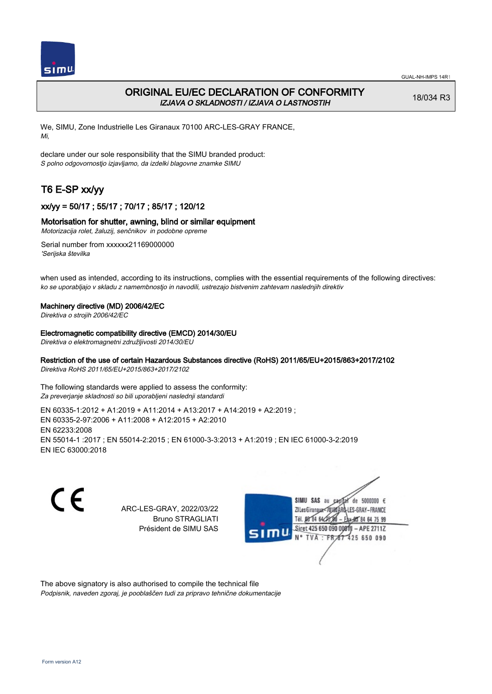

## ORIGINAL EU/EC DECLARATION OF CONFORMITY IZJAVA O SKLADNOSTI / IZJAVA O LASTNOSTIH

18/034 R3

We, SIMU, Zone Industrielle Les Giranaux 70100 ARC-LES-GRAY FRANCE, Mi,

declare under our sole responsibility that the SIMU branded product: S polno odgovornostjo izjavljamo, da izdelki blagovne znamke SIMU

# T6 E-SP xx/yy

## xx/yy = 50/17 ; 55/17 ; 70/17 ; 85/17 ; 120/12

### Motorisation for shutter, awning, blind or similar equipment

Motorizacija rolet, žaluzij, senčnikov in podobne opreme

Serial number from xxxxxx21169000000 'Serijska številka

when used as intended, according to its instructions, complies with the essential requirements of the following directives: ko se uporabljajo v skladu z namembnostjo in navodili, ustrezajo bistvenim zahtevam naslednjih direktiv

#### Machinery directive (MD) 2006/42/EC

Direktiva o strojih 2006/42/EC

#### Electromagnetic compatibility directive (EMCD) 2014/30/EU

Direktiva o elektromagnetni združljivosti 2014/30/EU

## Restriction of the use of certain Hazardous Substances directive (RoHS) 2011/65/EU+2015/863+2017/2102

Direktiva RoHS 2011/65/EU+2015/863+2017/2102

The following standards were applied to assess the conformity: Za preverjanje skladnosti so bili uporabljeni naslednji standardi

EN 60335‑1:2012 + A1:2019 + A11:2014 + A13:2017 + A14:2019 + A2:2019 ; EN 60335‑2‑97:2006 + A11:2008 + A12:2015 + A2:2010 EN 62233:2008 EN 55014‑1 :2017 ; EN 55014‑2:2015 ; EN 61000‑3‑3:2013 + A1:2019 ; EN IEC 61000‑3‑2:2019 EN IEC 63000:2018

C E

ARC-LES-GRAY, 2022/03/22 Bruno STRAGLIATI Président de SIMU SAS



The above signatory is also authorised to compile the technical file Podpisnik, naveden zgoraj, je pooblaščen tudi za pripravo tehnične dokumentacije